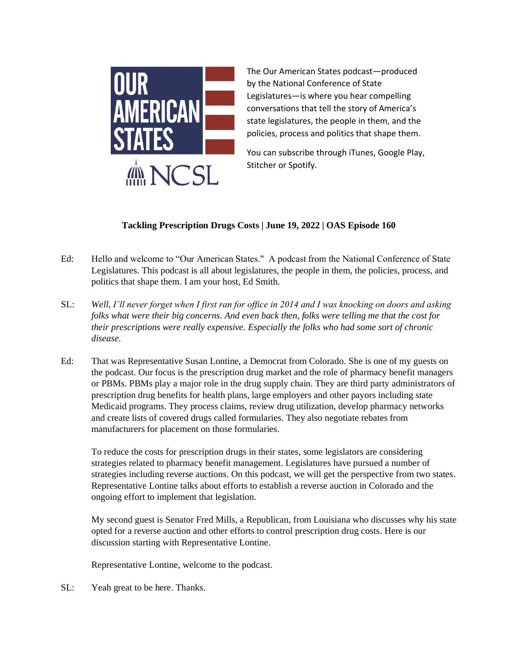

The Our American States podcast—produced by the National Conference of State Legislatures—is where you hear compelling conversations that tell the story of America's state legislatures, the people in them, and the policies, process and politics that shape them.

You can subscribe through iTunes, Google Play, Stitcher or Spotify.

## **Tackling Prescription Drugs Costs | June 19, 2022 | OAS Episode 160**

- Ed: Hello and welcome to "Our American States." A podcast from the National Conference of State Legislatures. This podcast is all about legislatures, the people in them, the policies, process, and politics that shape them. I am your host, Ed Smith.
- SL: *Well, I'll never forget when I first ran for office in 2014 and I was knocking on doors and asking folks what were their big concerns. And even back then, folks were telling me that the cost for their prescriptions were really expensive. Especially the folks who had some sort of chronic disease.*
- Ed: That was Representative Susan Lontine, a Democrat from Colorado. She is one of my guests on the podcast. Our focus is the prescription drug market and the role of pharmacy benefit managers or PBMs. PBMs play a major role in the drug supply chain. They are third party administrators of prescription drug benefits for health plans, large employers and other payors including state Medicaid programs. They process claims, review drug utilization, develop pharmacy networks and create lists of covered drugs called formularies. They also negotiate rebates from manufacturers for placement on those formularies.

To reduce the costs for prescription drugs in their states, some legislators are considering strategies related to pharmacy benefit management. Legislatures have pursued a number of strategies including reverse auctions. On this podcast, we will get the perspective from two states. Representative Lontine talks about efforts to establish a reverse auction in Colorado and the ongoing effort to implement that legislation.

My second guest is Senator Fred Mills, a Republican, from Louisiana who discusses why his state opted for a reverse auction and other efforts to control prescription drug costs. Here is our discussion starting with Representative Lontine.

Representative Lontine, welcome to the podcast.

SL: Yeah great to be here. Thanks.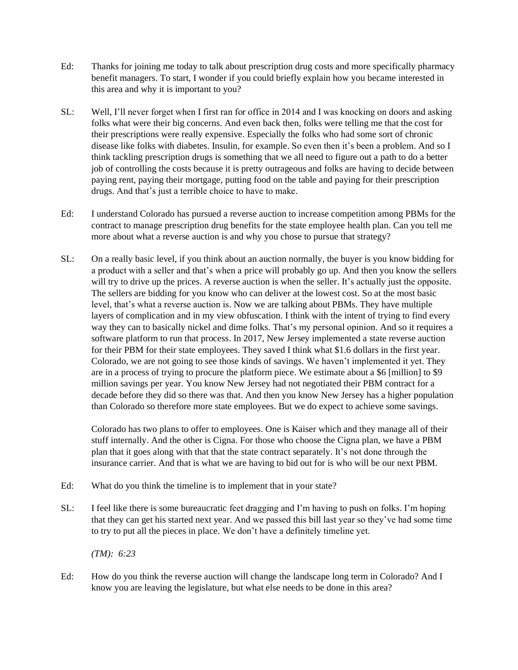- Ed: Thanks for joining me today to talk about prescription drug costs and more specifically pharmacy benefit managers. To start, I wonder if you could briefly explain how you became interested in this area and why it is important to you?
- SL: Well, I'll never forget when I first ran for office in 2014 and I was knocking on doors and asking folks what were their big concerns. And even back then, folks were telling me that the cost for their prescriptions were really expensive. Especially the folks who had some sort of chronic disease like folks with diabetes. Insulin, for example. So even then it's been a problem. And so I think tackling prescription drugs is something that we all need to figure out a path to do a better job of controlling the costs because it is pretty outrageous and folks are having to decide between paying rent, paying their mortgage, putting food on the table and paying for their prescription drugs. And that's just a terrible choice to have to make.
- Ed: I understand Colorado has pursued a reverse auction to increase competition among PBMs for the contract to manage prescription drug benefits for the state employee health plan. Can you tell me more about what a reverse auction is and why you chose to pursue that strategy?
- SL: On a really basic level, if you think about an auction normally, the buyer is you know bidding for a product with a seller and that's when a price will probably go up. And then you know the sellers will try to drive up the prices. A reverse auction is when the seller. It's actually just the opposite. The sellers are bidding for you know who can deliver at the lowest cost. So at the most basic level, that's what a reverse auction is. Now we are talking about PBMs. They have multiple layers of complication and in my view obfuscation. I think with the intent of trying to find every way they can to basically nickel and dime folks. That's my personal opinion. And so it requires a software platform to run that process. In 2017, New Jersey implemented a state reverse auction for their PBM for their state employees. They saved I think what \$1.6 dollars in the first year. Colorado, we are not going to see those kinds of savings. We haven't implemented it yet. They are in a process of trying to procure the platform piece. We estimate about a \$6 [million] to \$9 million savings per year. You know New Jersey had not negotiated their PBM contract for a decade before they did so there was that. And then you know New Jersey has a higher population than Colorado so therefore more state employees. But we do expect to achieve some savings.

Colorado has two plans to offer to employees. One is Kaiser which and they manage all of their stuff internally. And the other is Cigna. For those who choose the Cigna plan, we have a PBM plan that it goes along with that that the state contract separately. It's not done through the insurance carrier. And that is what we are having to bid out for is who will be our next PBM.

- Ed: What do you think the timeline is to implement that in your state?
- SL: I feel like there is some bureaucratic feet dragging and I'm having to push on folks. I'm hoping that they can get his started next year. And we passed this bill last year so they've had some time to try to put all the pieces in place. We don't have a definitely timeline yet.

*(TM): 6:23*

Ed: How do you think the reverse auction will change the landscape long term in Colorado? And I know you are leaving the legislature, but what else needs to be done in this area?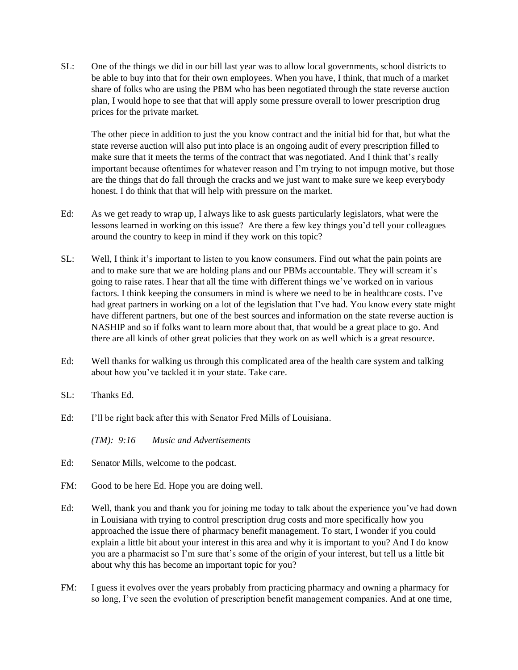SL: One of the things we did in our bill last year was to allow local governments, school districts to be able to buy into that for their own employees. When you have, I think, that much of a market share of folks who are using the PBM who has been negotiated through the state reverse auction plan, I would hope to see that that will apply some pressure overall to lower prescription drug prices for the private market.

The other piece in addition to just the you know contract and the initial bid for that, but what the state reverse auction will also put into place is an ongoing audit of every prescription filled to make sure that it meets the terms of the contract that was negotiated. And I think that's really important because oftentimes for whatever reason and I'm trying to not impugn motive, but those are the things that do fall through the cracks and we just want to make sure we keep everybody honest. I do think that that will help with pressure on the market.

- Ed: As we get ready to wrap up, I always like to ask guests particularly legislators, what were the lessons learned in working on this issue? Are there a few key things you'd tell your colleagues around the country to keep in mind if they work on this topic?
- SL: Well, I think it's important to listen to you know consumers. Find out what the pain points are and to make sure that we are holding plans and our PBMs accountable. They will scream it's going to raise rates. I hear that all the time with different things we've worked on in various factors. I think keeping the consumers in mind is where we need to be in healthcare costs. I've had great partners in working on a lot of the legislation that I've had. You know every state might have different partners, but one of the best sources and information on the state reverse auction is NASHIP and so if folks want to learn more about that, that would be a great place to go. And there are all kinds of other great policies that they work on as well which is a great resource.
- Ed: Well thanks for walking us through this complicated area of the health care system and talking about how you've tackled it in your state. Take care.
- SL: Thanks Ed.
- Ed: I'll be right back after this with Senator Fred Mills of Louisiana.

*(TM): 9:16 Music and Advertisements*

- Ed: Senator Mills, welcome to the podcast.
- FM: Good to be here Ed. Hope you are doing well.
- Ed: Well, thank you and thank you for joining me today to talk about the experience you've had down in Louisiana with trying to control prescription drug costs and more specifically how you approached the issue there of pharmacy benefit management. To start, I wonder if you could explain a little bit about your interest in this area and why it is important to you? And I do know you are a pharmacist so I'm sure that's some of the origin of your interest, but tell us a little bit about why this has become an important topic for you?
- FM: I guess it evolves over the years probably from practicing pharmacy and owning a pharmacy for so long, I've seen the evolution of prescription benefit management companies. And at one time,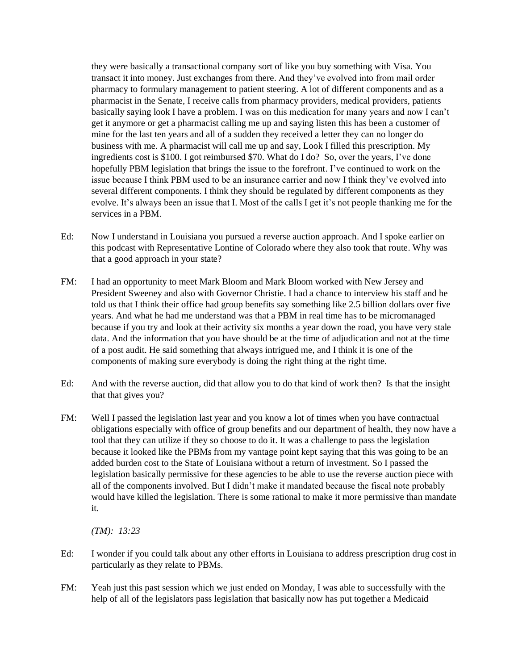they were basically a transactional company sort of like you buy something with Visa. You transact it into money. Just exchanges from there. And they've evolved into from mail order pharmacy to formulary management to patient steering. A lot of different components and as a pharmacist in the Senate, I receive calls from pharmacy providers, medical providers, patients basically saying look I have a problem. I was on this medication for many years and now I can't get it anymore or get a pharmacist calling me up and saying listen this has been a customer of mine for the last ten years and all of a sudden they received a letter they can no longer do business with me. A pharmacist will call me up and say, Look I filled this prescription. My ingredients cost is \$100. I got reimbursed \$70. What do I do? So, over the years, I've done hopefully PBM legislation that brings the issue to the forefront. I've continued to work on the issue because I think PBM used to be an insurance carrier and now I think they've evolved into several different components. I think they should be regulated by different components as they evolve. It's always been an issue that I. Most of the calls I get it's not people thanking me for the services in a PBM.

- Ed: Now I understand in Louisiana you pursued a reverse auction approach. And I spoke earlier on this podcast with Representative Lontine of Colorado where they also took that route. Why was that a good approach in your state?
- FM: I had an opportunity to meet Mark Bloom and Mark Bloom worked with New Jersey and President Sweeney and also with Governor Christie. I had a chance to interview his staff and he told us that I think their office had group benefits say something like 2.5 billion dollars over five years. And what he had me understand was that a PBM in real time has to be micromanaged because if you try and look at their activity six months a year down the road, you have very stale data. And the information that you have should be at the time of adjudication and not at the time of a post audit. He said something that always intrigued me, and I think it is one of the components of making sure everybody is doing the right thing at the right time.
- Ed: And with the reverse auction, did that allow you to do that kind of work then? Is that the insight that that gives you?
- FM: Well I passed the legislation last year and you know a lot of times when you have contractual obligations especially with office of group benefits and our department of health, they now have a tool that they can utilize if they so choose to do it. It was a challenge to pass the legislation because it looked like the PBMs from my vantage point kept saying that this was going to be an added burden cost to the State of Louisiana without a return of investment. So I passed the legislation basically permissive for these agencies to be able to use the reverse auction piece with all of the components involved. But I didn't make it mandated because the fiscal note probably would have killed the legislation. There is some rational to make it more permissive than mandate it.

*(TM): 13:23*

- Ed: I wonder if you could talk about any other efforts in Louisiana to address prescription drug cost in particularly as they relate to PBMs.
- FM: Yeah just this past session which we just ended on Monday, I was able to successfully with the help of all of the legislators pass legislation that basically now has put together a Medicaid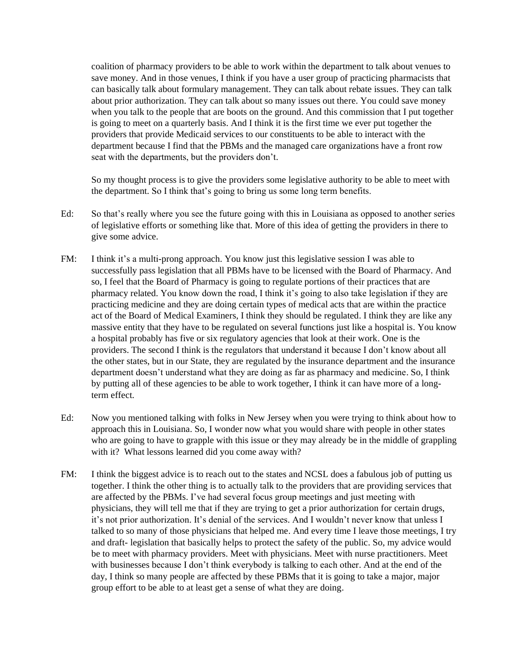coalition of pharmacy providers to be able to work within the department to talk about venues to save money. And in those venues, I think if you have a user group of practicing pharmacists that can basically talk about formulary management. They can talk about rebate issues. They can talk about prior authorization. They can talk about so many issues out there. You could save money when you talk to the people that are boots on the ground. And this commission that I put together is going to meet on a quarterly basis. And I think it is the first time we ever put together the providers that provide Medicaid services to our constituents to be able to interact with the department because I find that the PBMs and the managed care organizations have a front row seat with the departments, but the providers don't.

So my thought process is to give the providers some legislative authority to be able to meet with the department. So I think that's going to bring us some long term benefits.

- Ed: So that's really where you see the future going with this in Louisiana as opposed to another series of legislative efforts or something like that. More of this idea of getting the providers in there to give some advice.
- FM: I think it's a multi-prong approach. You know just this legislative session I was able to successfully pass legislation that all PBMs have to be licensed with the Board of Pharmacy. And so, I feel that the Board of Pharmacy is going to regulate portions of their practices that are pharmacy related. You know down the road, I think it's going to also take legislation if they are practicing medicine and they are doing certain types of medical acts that are within the practice act of the Board of Medical Examiners, I think they should be regulated. I think they are like any massive entity that they have to be regulated on several functions just like a hospital is. You know a hospital probably has five or six regulatory agencies that look at their work. One is the providers. The second I think is the regulators that understand it because I don't know about all the other states, but in our State, they are regulated by the insurance department and the insurance department doesn't understand what they are doing as far as pharmacy and medicine. So, I think by putting all of these agencies to be able to work together, I think it can have more of a longterm effect.
- Ed: Now you mentioned talking with folks in New Jersey when you were trying to think about how to approach this in Louisiana. So, I wonder now what you would share with people in other states who are going to have to grapple with this issue or they may already be in the middle of grappling with it? What lessons learned did you come away with?
- FM: I think the biggest advice is to reach out to the states and NCSL does a fabulous job of putting us together. I think the other thing is to actually talk to the providers that are providing services that are affected by the PBMs. I've had several focus group meetings and just meeting with physicians, they will tell me that if they are trying to get a prior authorization for certain drugs, it's not prior authorization. It's denial of the services. And I wouldn't never know that unless I talked to so many of those physicians that helped me. And every time I leave those meetings, I try and draft- legislation that basically helps to protect the safety of the public. So, my advice would be to meet with pharmacy providers. Meet with physicians. Meet with nurse practitioners. Meet with businesses because I don't think everybody is talking to each other. And at the end of the day, I think so many people are affected by these PBMs that it is going to take a major, major group effort to be able to at least get a sense of what they are doing.